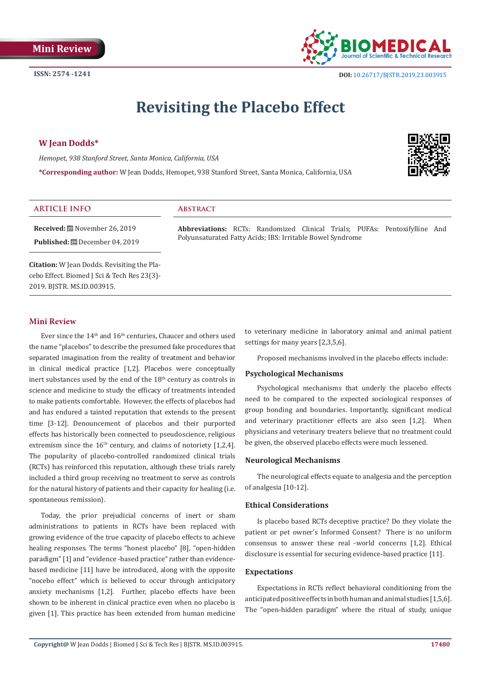

 **DOI:** [10.26717/BJSTR.2019.23.0039](http://dx.doi.org/10.26717/BJSTR.2019.23.003915)15

# **Revisiting the Placebo Effect**

# **W Jean Dodds\***

*Hemopet, 938 Stanford Street, Santa Monica, California, USA*

**\*Corresponding author:** W Jean Dodds, Hemopet, 938 Stanford Street, Santa Monica, California, USA



# **ARTICLE INFO Abstract**

**Received:** November 26, 2019 **Published:** December 04, 2019

**Citation:** W Jean Dodds. Revisiting the Placebo Effect. Biomed J Sci & Tech Res 23(3)- 2019. BJSTR. MS.ID.003915.

#### **Mini Review**

Ever since the  $14<sup>th</sup>$  and  $16<sup>th</sup>$  centuries, Chaucer and others used the name "placebos" to describe the presumed fake procedures that separated imagination from the reality of treatment and behavior in clinical medical practice [1,2]. Placebos were conceptually inert substances used by the end of the 18<sup>th</sup> century as controls in science and medicine to study the efficacy of treatments intended to make patients comfortable. However, the effects of placebos had and has endured a tainted reputation that extends to the present time [3-12]. Denouncement of placebos and their purported effects has historically been connected to pseudoscience, religious extremism since the  $16<sup>th</sup>$  century, and claims of notoriety [1,2,4]. The popularity of placebo-controlled randomized clinical trials (RCTs) has reinforced this reputation, although these trials rarely included a third group receiving no treatment to serve as controls for the natural history of patients and their capacity for healing (i.e. spontaneous remission).

Today, the prior prejudicial concerns of inert or sham administrations to patients in RCTs have been replaced with growing evidence of the true capacity of placebo effects to achieve healing responses. The terms "honest placebo" [8], "open-hidden paradigm" [1] and "evidence -based practice" rather than evidencebased medicine [11] have be introduced, along with the opposite "nocebo effect" which is believed to occur through anticipatory anxiety mechanisms [1,2]. Further, placebo effects have been shown to be inherent in clinical practice even when no placebo is given [1]. This practice has been extended from human medicine

**Abbreviations:** RCTs: Randomized Clinical Trials; PUFAs: Pentoxifylline And

Polyunsaturated Fatty Acids; IBS: Irritable Bowel Syndrome

to veterinary medicine in laboratory animal and animal patient settings for many years [2,3,5,6].

Proposed mechanisms involved in the placebo effects include:

### **Psychological Mechanisms**

Psychological mechanisms that underly the placebo effects need to be compared to the expected sociological responses of group bonding and boundaries. Importantly, significant medical and veterinary practitioner effects are also seen [1,2]. When physicians and veterinary treaters believe that no treatment could be given, the observed placebo effects were much lessened.

#### **Neurological Mechanisms**

The neurological effects equate to analgesia and the perception of analgesia [10-12].

#### **Ethical Considerations**

Is placebo based RCTs deceptive practice? Do they violate the patient or pet owner's Informed Consent? There is no uniform consensus to answer these real -world concerns [1,2]. Ethical disclosure is essential for securing evidence-based practice [11].

#### **Expectations**

Expectations in RCTs reflect behavioral conditioning from the anticipated positive effects in both human and animal studies [1,5,6]. The "open-hidden paradigm" where the ritual of study, unique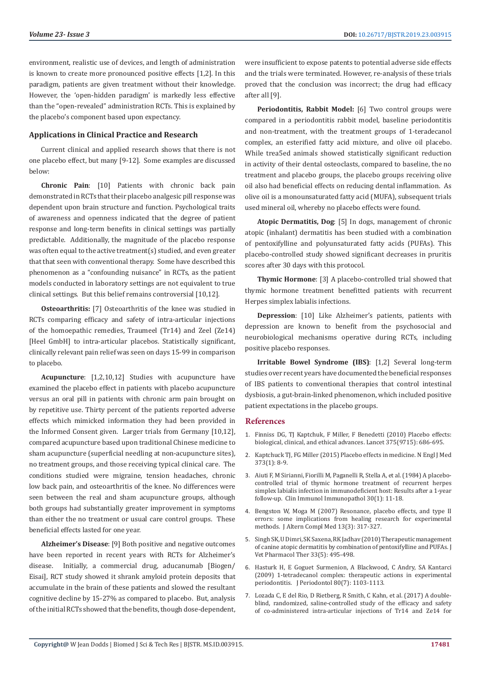environment, realistic use of devices, and length of administration is known to create more pronounced positive effects [1,2]. In this paradigm, patients are given treatment without their knowledge. However, the 'open-hidden paradigm' is markedly less effective than the "open-revealed" administration RCTs. This is explained by the placebo's component based upon expectancy.

# **Applications in Clinical Practice and Research**

Current clinical and applied research shows that there is not one placebo effect, but many [9-12]. Some examples are discussed below:

**Chronic Pain**: [10] Patients with chronic back pain demonstrated in RCTs that their placebo analgesic pill response was dependent upon brain structure and function. Psychological traits of awareness and openness indicated that the degree of patient response and long-term benefits in clinical settings was partially predictable. Additionally, the magnitude of the placebo response was often equal to the active treatment(s) studied, and even greater that that seen with conventional therapy. Some have described this phenomenon as a "confounding nuisance" in RCTs, as the patient models conducted in laboratory settings are not equivalent to true clinical settings. But this belief remains controversial [10,12].

**Osteoarthritis:** [7] Osteoarthritis of the knee was studied in RCTs comparing efficacy and safety of intra-articular injections of the homoepathic remedies, Traumeel (Tr14) and Zeel (Ze14) [Heel GmbH] to intra-articular placebos. Statistically significant, clinically relevant pain relief was seen on days 15-99 in comparison to placebo.

**Acupuncture**: [1,2,10,12] Studies with acupuncture have examined the placebo effect in patients with placebo acupuncture versus an oral pill in patients with chronic arm pain brought on by repetitive use. Thirty percent of the patients reported adverse effects which mimicked information they had been provided in the Informed Consent given. Larger trials from Germany [10,12], compared acupuncture based upon traditional Chinese medicine to sham acupuncture (superficial needling at non-acupuncture sites), no treatment groups, and those receiving typical clinical care. The conditions studied were migraine, tension headaches, chronic low back pain, and osteoarthritis of the knee. No differences were seen between the real and sham acupuncture groups, although both groups had substantially greater improvement in symptoms than either the no treatment or usual care control groups. These beneficial effects lasted for one year.

**Alzheimer's Disease**: [9] Both positive and negative outcomes have been reported in recent years with RCTs for Alzheimer's disease. Initially, a commercial drug, aducanumab [Biogen/ Eisai], RCT study showed it shrank amyloid protein deposits that accumulate in the brain of these patients and slowed the resultant cognitive decline by 15-27% as compared to placebo. But, analysis of the initial RCTs showed that the benefits, though dose-dependent,

were insufficient to expose patents to potential adverse side effects and the trials were terminated. However, re-analysis of these trials proved that the conclusion was incorrect; the drug had efficacy after all [9].

**Periodontitis, Rabbit Model:** [6] Two control groups were compared in a periodontitis rabbit model, baseline periodontitis and non-treatment, with the treatment groups of 1-teradecanol complex, an esterified fatty acid mixture, and olive oil placebo. While trea5ed animals showed statistically significant reduction in activity of their dental osteoclasts, compared to baseline, the no treatment and placebo groups, the placebo groups receiving olive oil also had beneficial effects on reducing dental inflammation. As olive oil is a monounsaturated fatty acid (MUFA), subsequent trials used mineral oil, whereby no placebo effects were found.

**Atopic Dermatitis, Dog**: [5] In dogs, management of chronic atopic (inhalant) dermatitis has been studied with a combination of pentoxifylline and polyunsaturated fatty acids (PUFAs). This placebo-controlled study showed significant decreases in pruritis scores after 30 days with this protocol.

**Thymic Hormone**: [3] A placebo-controlled trial showed that thymic hormone treatment benefitted patients with recurrent Herpes simplex labialis infections.

**Depression**: [10] Like Alzheimer's patients, patients with depression are known to benefit from the psychosocial and neurobiological mechanisms operative during RCTs, including positive placebo responses.

**Irritable Bowel Syndrome (IBS)**: [1,2] Several long-term studies over recent years have documented the beneficial responses of IBS patients to conventional therapies that control intestinal dysbiosis, a gut-brain-linked phenomenon, which included positive patient expectations in the placebo groups.

#### **References**

- 1. [Finniss DG, TJ Kaptchuk, F Miller, F Benedetti \(2010\) Placebo effects:](https://www.ncbi.nlm.nih.gov/pmc/articles/PMC2832199/) [biological, clinical, and ethical advances. Lancet 375\(9715\): 686-695.](https://www.ncbi.nlm.nih.gov/pmc/articles/PMC2832199/)
- 2. [Kaptchuck TJ, FG Miller \(2015\) Placebo effects in medicine. N Engl J Med](https://www.ncbi.nlm.nih.gov/pubmed/26132938) [373\(1\): 8-9.](https://www.ncbi.nlm.nih.gov/pubmed/26132938)
- 3. [Aiuti F, M Sirianni, Fiorilli M, Paganelli R, Stella A, et al. \(1984\) A placebo](https://www.ncbi.nlm.nih.gov/pubmed/6321073)[controlled trial of thymic hormone treatment of recurrent herpes](https://www.ncbi.nlm.nih.gov/pubmed/6321073) [simplex labialis infection in immunodeficient host: Results after a 1-year](https://www.ncbi.nlm.nih.gov/pubmed/6321073) [follow-up. Clin Immunol Immunopathol 30\(1\): 11-18.](https://www.ncbi.nlm.nih.gov/pubmed/6321073)
- 4. [Bengston W, Moga M \(2007\) Resonance, placebo effects, and type II](https://www.ncbi.nlm.nih.gov/pubmed/17480130) [errors: some implications from healing research for experimental](https://www.ncbi.nlm.nih.gov/pubmed/17480130) [methods. J Altern Compl Med 13\(3\): 317-327.](https://www.ncbi.nlm.nih.gov/pubmed/17480130)
- 5. [Singh SK, U Dimri, SK Saxena, RK Jadhav \(2010\) Therapeutic management](https://onlinelibrary.wiley.com/doi/10.1111/j.1365-2885.2009.01146.x) [of canine atopic dermatitis by combination of pentoxifylline and PUFAs. J](https://onlinelibrary.wiley.com/doi/10.1111/j.1365-2885.2009.01146.x) [Vet Pharmacol Ther 33\(5\): 495-498.](https://onlinelibrary.wiley.com/doi/10.1111/j.1365-2885.2009.01146.x)
- 6. [Hasturk H, E Goguet Surmenion, A Blackwood, C Andry, SA Kantarci](https://www.ncbi.nlm.nih.gov/pubmed/19563290) [\(2009\) 1-tetradecanol complex: therapeutic actions in experimental](https://www.ncbi.nlm.nih.gov/pubmed/19563290) [periodontitis. J Periodontol 80\(7\): 1103-1113.](https://www.ncbi.nlm.nih.gov/pubmed/19563290)
- 7. [Lozada C, E del Rio, D Rietberg, R Smith, C Kahn, et al. \(2017\) A double](https://www.sciencedirect.com/science/article/pii/S187638201730135X)[blind, randomized, saline-controlled study of the efficacy and safety](https://www.sciencedirect.com/science/article/pii/S187638201730135X) [of co-administered intra-articular injections of Tr14 and Ze14 for](https://www.sciencedirect.com/science/article/pii/S187638201730135X)